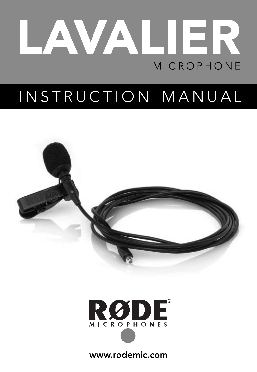# LAVALIER MICROPHONE

# INSTRUCTION MANUAL





www.rodemic.com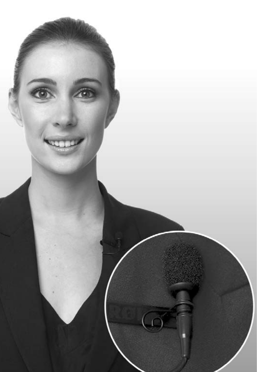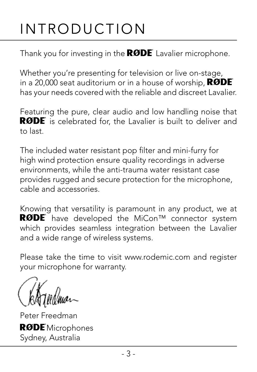# INTRODUCTION

Thank you for investing in the **RØDE** Lavalier microphone.

Whether you're presenting for television or live on-stage, in a 20,000 seat auditorium or in a house of worship,  $\textsf{RODE}$ has your needs covered with the reliable and discreet Lavalier.

Featuring the pure, clear audio and low handling noise that **RØDE** is celebrated for, the Lavalier is built to deliver and to last.

The included water resistant pop filter and mini-furry for high wind protection ensure quality recordings in adverse environments, while the anti-trauma water resistant case provides rugged and secure protection for the microphone, cable and accessories.

Knowing that versatility is paramount in any product, we at **RØDE** have developed the MiCon™ connector system which provides seamless integration between the Lavalier and a wide range of wireless systems.

Please take the time to visit www.rodemic.com and register your microphone for warranty.

Peter Freedman **RØDE** Microphones Sydney, Australia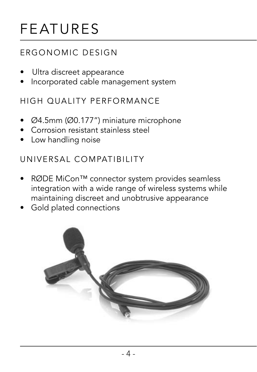## FEATURES

### ERGONOMIC DESIGN

- Ultra discreet appearance
- Incorporated cable management system

#### HIGH QUALITY PERFORMANCE

- Ø4.5mm (Ø0.177") miniature microphone
- Corrosion resistant stainless steel
- Low handling noise

### UNIVERSAL COMPATIBILITY

- RØDE MiCon™ connector system provides seamless integration with a wide range of wireless systems while maintaining discreet and unobtrusive appearance
- Gold plated connections

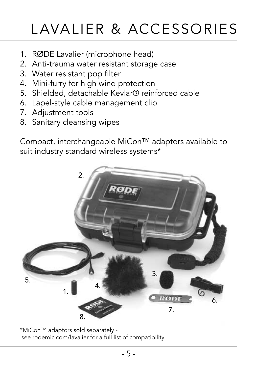### LAVALIER & ACCESSORIES

- 1. RØDE Lavalier (microphone head)
- 2. Anti-trauma water resistant storage case
- 3. Water resistant pop filter
- 4. Mini-furry for high wind protection
- 5. Shielded, detachable Kevlar® reinforced cable
- 6. Lapel-style cable management clip
- 7. Adjustment tools
- 8. Sanitary cleansing wipes

Compact, interchangeable MiCon™ adaptors available to suit industry standard wireless systems\*



\*MiCon™ adaptors sold separately see rodemic.com/lavalier for a full list of compatibility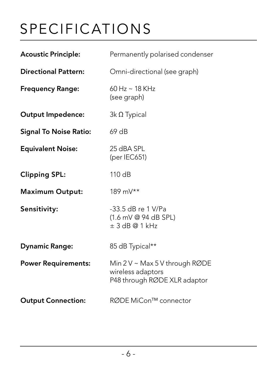# SPECIFICATIONS

| <b>Acoustic Principle:</b>    | Permanently polarised condenser                                                     |
|-------------------------------|-------------------------------------------------------------------------------------|
| <b>Directional Pattern:</b>   | Omni-directional (see graph)                                                        |
| <b>Frequency Range:</b>       | 60 Hz $\sim$ 18 KHz<br>(see graph)                                                  |
| Output Impedence:             | $3k \Omega$ Typical                                                                 |
| <b>Signal To Noise Ratio:</b> | $69$ dB                                                                             |
| <b>Equivalent Noise:</b>      | 25 dBA SPL<br>(per IEC651)                                                          |
| <b>Clipping SPL:</b>          | 110dB                                                                               |
| <b>Maximum Output:</b>        | 189 mV**                                                                            |
| Sensitivity:                  | $-33.5$ dB re 1 V/Pa<br>(1.6 mV @ 94 dB SPL)<br>$\pm$ 3 dB @ 1 kHz                  |
| <b>Dynamic Range:</b>         | 85 dB Typical**                                                                     |
| <b>Power Requirements:</b>    | Min 2 V ~ Max 5 V through RØDE<br>wireless adaptors<br>P48 through RØDE XLR adaptor |
| <b>Output Connection:</b>     | RØDE MiCon™ connector                                                               |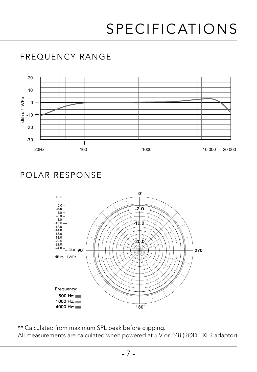### SPECIFICATIONS

### FREQUENCY RANGE



#### POLAR RESPONSE



\*\* Calculated from maximum SPL peak before clipping.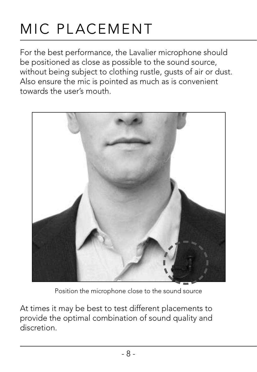# MIC PLACEMENT

For the best performance, the Lavalier microphone should be positioned as close as possible to the sound source, without being subject to clothing rustle, gusts of air or dust. Also ensure the mic is pointed as much as is convenient towards the user's mouth.



Position the microphone close to the sound source

At times it may be best to test different placements to provide the optimal combination of sound quality and discretion.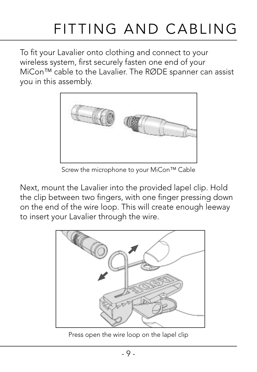### FITTING AND CABLING

To fit your Lavalier onto clothing and connect to your wireless system, first securely fasten one end of your MiCon™ cable to the Lavalier. The RØDE spanner can assist you in this assembly.



Screw the microphone to your MiCon™ Cable

Next, mount the Lavalier into the provided lapel clip. Hold the clip between two fingers, with one finger pressing down on the end of the wire loop. This will create enough leeway to insert your Lavalier through the wire.



Press open the wire loop on the lapel clip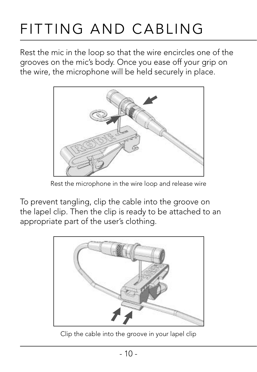# FITTING AND CABLING

Rest the mic in the loop so that the wire encircles one of the grooves on the mic's body. Once you ease off your grip on the wire, the microphone will be held securely in place.



Rest the microphone in the wire loop and release wire

To prevent tangling, clip the cable into the groove on the lapel clip. Then the clip is ready to be attached to an appropriate part of the user's clothing.



Clip the cable into the groove in your lapel clip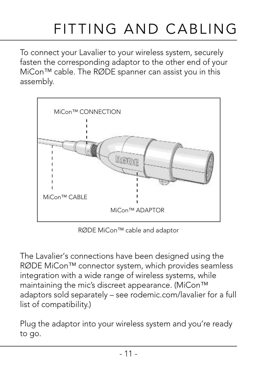To connect your Lavalier to your wireless system, securely fasten the corresponding adaptor to the other end of your MiCon™ cable. The RØDE spanner can assist you in this assembly.



RØDE MiCon™ cable and adaptor

The Lavalier's connections have been designed using the RØDE MiCon™ connector system, which provides seamless integration with a wide range of wireless systems, while maintaining the mic's discreet appearance. (MiCon™ adaptors sold separately – see rodemic.com/lavalier for a full list of compatibility.)

Plug the adaptor into your wireless system and you're ready to go.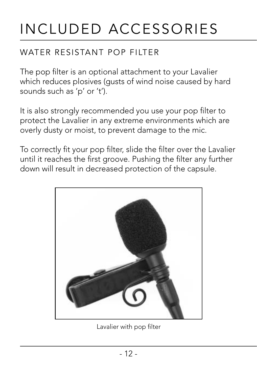# INCLUDED ACCESSORIES

### WATER RESISTANT POP FILTER

The pop filter is an optional attachment to your Lavalier which reduces plosives (gusts of wind noise caused by hard sounds such as 'p' or 't').

It is also strongly recommended you use your pop filter to protect the Lavalier in any extreme environments which are overly dusty or moist, to prevent damage to the mic.

To correctly fit your pop filter, slide the filter over the Lavalier until it reaches the first groove. Pushing the filter any further down will result in decreased protection of the capsule.



Lavalier with pop filter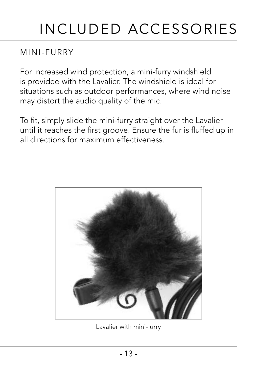## INCLUDED ACCESSORIES

#### MINI-FURRY

For increased wind protection, a mini-furry windshield is provided with the Lavalier. The windshield is ideal for situations such as outdoor performances, where wind noise may distort the audio quality of the mic.

To fit, simply slide the mini-furry straight over the Lavalier until it reaches the first groove. Ensure the fur is fluffed up in all directions for maximum effectiveness.



Lavalier with mini-furry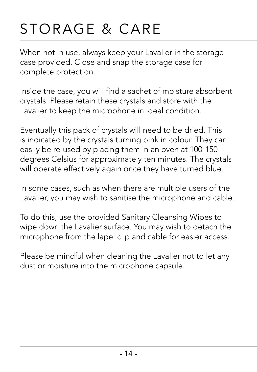### STORAGE & CARE

When not in use, always keep your Lavalier in the storage case provided. Close and snap the storage case for complete protection.

Inside the case, you will find a sachet of moisture absorbent crystals. Please retain these crystals and store with the Lavalier to keep the microphone in ideal condition.

Eventually this pack of crystals will need to be dried. This is indicated by the crystals turning pink in colour. They can easily be re-used by placing them in an oven at 100-150 degrees Celsius for approximately ten minutes. The crystals will operate effectively again once they have turned blue.

In some cases, such as when there are multiple users of the Lavalier, you may wish to sanitise the microphone and cable.

To do this, use the provided Sanitary Cleansing Wipes to wipe down the Lavalier surface. You may wish to detach the microphone from the lapel clip and cable for easier access.

Please be mindful when cleaning the Lavalier not to let any dust or moisture into the microphone capsule.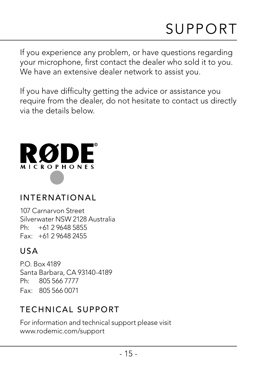If you experience any problem, or have questions regarding your microphone, first contact the dealer who sold it to you. We have an extensive dealer network to assist you.

If you have difficulty getting the advice or assistance you require from the dealer, do not hesitate to contact us directly via the details below.



#### INTERNATIONAL

107 Carnarvon Street Silverwater NSW 2128 Australia Ph: +61 2 9648 5855 Fax: +61 2 9648 2455

#### USA

P.O. Box 4189 Santa Barbara, CA 93140-4189 Ph: 805 566 7777 Fax: 805 566 0071

### TECHNICAL SUPPORT

For information and technical support please visit www.rodemic.com/support